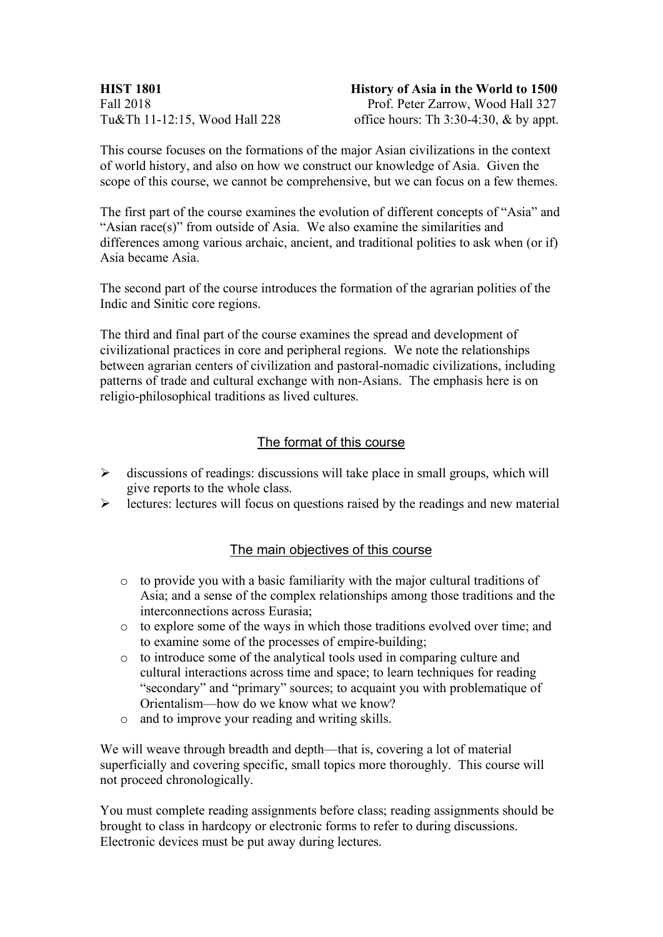This course focuses on the formations of the major Asian civilizations in the context of world history, and also on how we construct our knowledge of Asia. Given the scope of this course, we cannot be comprehensive, but we can focus on a few themes.

The first part of the course examines the evolution of different concepts of "Asia" and "Asian race(s)" from outside of Asia. We also examine the similarities and differences among various archaic, ancient, and traditional polities to ask when (or if) Asia became Asia.

The second part of the course introduces the formation of the agrarian polities of the Indic and Sinitic core regions.

The third and final part of the course examines the spread and development of civilizational practices in core and peripheral regions. We note the relationships between agrarian centers of civilization and pastoral-nomadic civilizations, including patterns of trade and cultural exchange with non-Asians. The emphasis here is on religio-philosophical traditions as lived cultures.

# The format of this course

- $\triangleright$  discussions of readings: discussions will take place in small groups, which will give reports to the whole class.
- $\triangleright$  lectures: lectures will focus on questions raised by the readings and new material

## The main objectives of this course

- o to provide you with a basic familiarity with the major cultural traditions of Asia; and a sense of the complex relationships among those traditions and the interconnections across Eurasia;
- o to explore some of the ways in which those traditions evolved over time; and to examine some of the processes of empire-building;
- o to introduce some of the analytical tools used in comparing culture and cultural interactions across time and space; to learn techniques for reading "secondary" and "primary" sources; to acquaint you with problematique of Orientalism—how do we know what we know?
- o and to improve your reading and writing skills.

We will weave through breadth and depth—that is, covering a lot of material superficially and covering specific, small topics more thoroughly. This course will not proceed chronologically.

You must complete reading assignments before class; reading assignments should be brought to class in hardcopy or electronic forms to refer to during discussions. Electronic devices must be put away during lectures.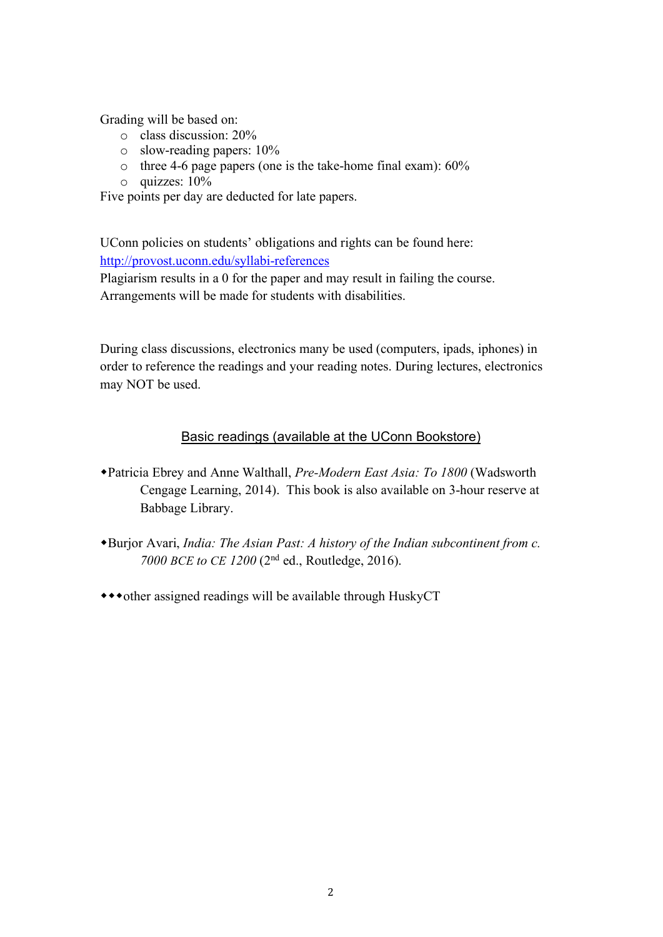Grading will be based on:

- o class discussion: 20%
- o slow-reading papers: 10%
- o three 4-6 page papers (one is the take-home final exam): 60%
- o quizzes: 10%

Five points per day are deducted for late papers.

UConn policies on students' obligations and rights can be found here: http://provost.uconn.edu/syllabi-references

Plagiarism results in a 0 for the paper and may result in failing the course. Arrangements will be made for students with disabilities.

During class discussions, electronics many be used (computers, ipads, iphones) in order to reference the readings and your reading notes. During lectures, electronics may NOT be used.

# Basic readings (available at the UConn Bookstore)

- wPatricia Ebrey and Anne Walthall, *Pre-Modern East Asia: To 1800* (Wadsworth Cengage Learning, 2014). This book is also available on 3-hour reserve at Babbage Library.
- wBurjor Avari, *India: The Asian Past: A history of the Indian subcontinent from c. 7000 BCE to CE 1200* (2nd ed., Routledge, 2016).
- \*\*\* other assigned readings will be available through HuskyCT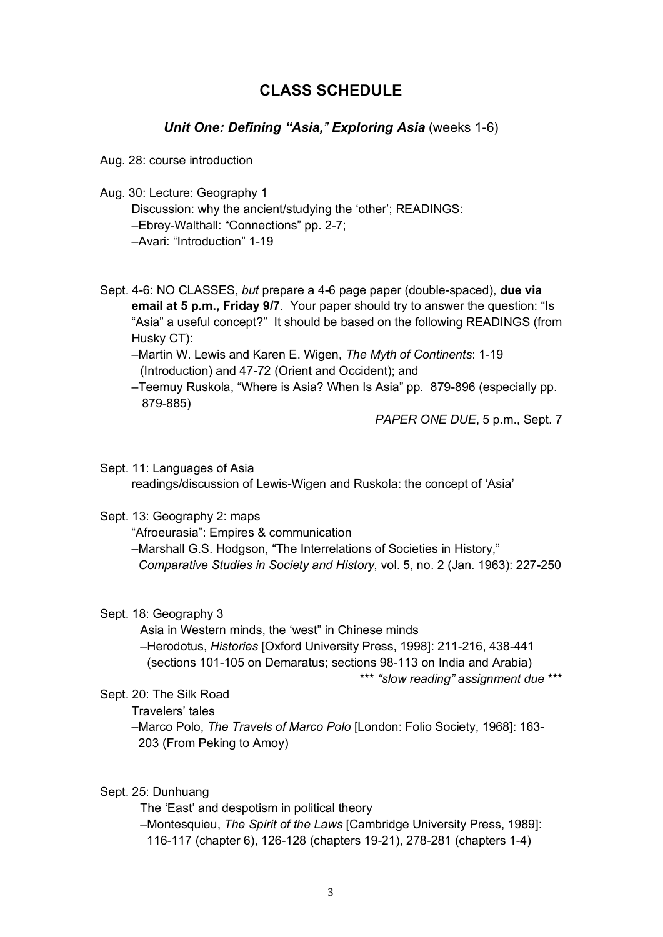# **CLASS SCHEDULE**

## *Unit One: Defining "Asia," Exploring Asia* (weeks 1-6)

Aug. 28: course introduction

Aug. 30: Lecture: Geography 1

Discussion: why the ancient/studying the 'other'; READINGS: –Ebrey-Walthall: "Connections" pp. 2-7; –Avari: "Introduction" 1-19

Sept. 4-6: NO CLASSES, *but* prepare a 4-6 page paper (double-spaced), **due via email at 5 p.m., Friday 9/7**. Your paper should try to answer the question: "Is "Asia" a useful concept?" It should be based on the following READINGS (from Husky CT):

–Martin W. Lewis and Karen E. Wigen, *The Myth of Continents*: 1-19 (Introduction) and 47-72 (Orient and Occident); and

–Teemuy Ruskola, "Where is Asia? When Is Asia" pp. 879-896 (especially pp. 879-885)

*PAPER ONE DUE*, 5 p.m., Sept. 7

#### Sept. 11: Languages of Asia

readings/discussion of Lewis-Wigen and Ruskola: the concept of 'Asia'

Sept. 13: Geography 2: maps

"Afroeurasia": Empires & communication

–Marshall G.S. Hodgson, "The Interrelations of Societies in History," *Comparative Studies in Society and History*, vol. 5, no. 2 (Jan. 1963): 227-250

### Sept. 18: Geography 3

Asia in Western minds, the 'west" in Chinese minds

–Herodotus, *Histories* [Oxford University Press, 1998]: 211-216, 438-441 (sections 101-105 on Demaratus; sections 98-113 on India and Arabia)

\*\*\* *"slow reading" assignment due* \*\*\*

## Sept. 20: The Silk Road

Travelers' tales

*–*Marco Polo, *The Travels of Marco Polo* [London: Folio Society, 1968]: 163- 203 (From Peking to Amoy)

## Sept. 25: Dunhuang

The 'East' and despotism in political theory

–Montesquieu, *The Spirit of the Laws* [Cambridge University Press, 1989]: 116-117 (chapter 6), 126-128 (chapters 19-21), 278-281 (chapters 1-4)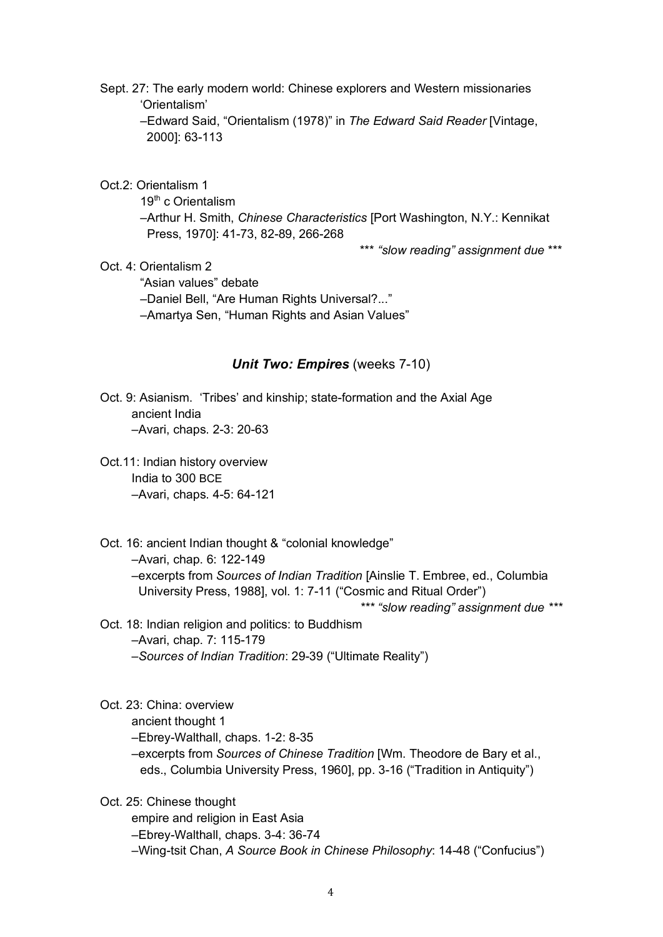Sept. 27: The early modern world: Chinese explorers and Western missionaries 'Orientalism'

–Edward Said, "Orientalism (1978)" in *The Edward Said Reader* [Vintage, 2000]: 63-113

Oct.2: Orientalism 1

19<sup>th</sup> c Orientalism

–Arthur H. Smith, *Chinese Characteristics* [Port Washington, N.Y.: Kennikat Press, 1970]: 41-73, 82-89, 266-268

\*\*\* *"slow reading" assignment due* \*\*\*

Oct. 4: Orientalism 2

"Asian values" debate

–Daniel Bell, "Are Human Rights Universal?..."

–Amartya Sen, "Human Rights and Asian Values"

*Unit Two: Empires* (weeks 7-10)

Oct. 9: Asianism. 'Tribes' and kinship; state-formation and the Axial Age ancient India –Avari, chaps. 2-3: 20-63

Oct.11: Indian history overview India to 300 BCE –Avari, chaps. 4-5: 64-121

Oct. 16: ancient Indian thought & "colonial knowledge" –Avari, chap. 6: 122-149 –excerpts from *Sources of Indian Tradition* [Ainslie T. Embree, ed., Columbia University Press, 1988], vol. 1: 7-11 ("Cosmic and Ritual Order") *\*\*\* "slow reading" assignment due \*\*\**

Oct. 18: Indian religion and politics: to Buddhism

–Avari, chap. 7: 115-179

*–Sources of Indian Tradition*: 29-39 ("Ultimate Reality")

Oct. 23: China: overview

ancient thought 1

–Ebrey-Walthall, chaps. 1-2: 8-35

–excerpts from *Sources of Chinese Tradition* [Wm. Theodore de Bary et al., eds., Columbia University Press, 1960], pp. 3-16 ("Tradition in Antiquity")

Oct. 25: Chinese thought

empire and religion in East Asia

–Ebrey-Walthall, chaps. 3-4: 36-74

–Wing-tsit Chan, *A Source Book in Chinese Philosophy*: 14-48 ("Confucius")